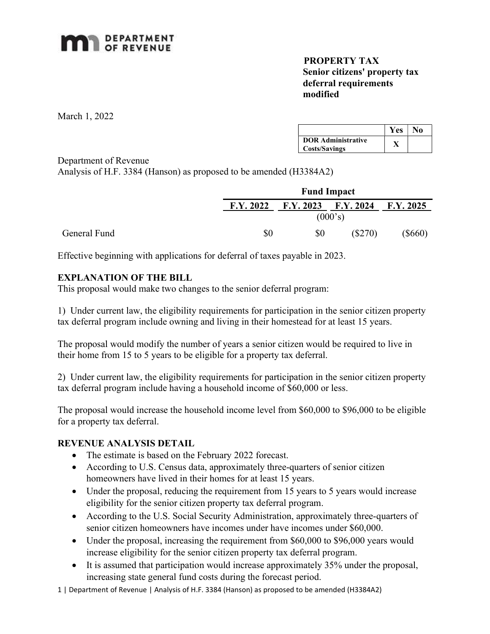

## PROPERTY TAX Senior citizens' property tax deferral requirements modified

March 1, 2022

|                                                   | Yes | No |
|---------------------------------------------------|-----|----|
| <b>DOR Administrative</b><br><b>Costs/Savings</b> |     |    |

### Department of Revenue

Analysis of H.F. 3384 (Hanson) as proposed to be amended (H3384A2)

|              | <b>Fund Impact</b> |           |           |           |
|--------------|--------------------|-----------|-----------|-----------|
|              | F.Y. 2022          | F.Y. 2023 | F.Y. 2024 | F.Y. 2025 |
|              |                    |           | (000's)   |           |
| General Fund | \$0                | \$0       | (S270)    | $(\$660)$ |

Effective beginning with applications for deferral of taxes payable in 2023.

## EXPLANATION OF THE BILL

This proposal would make two changes to the senior deferral program:

1) Under current law, the eligibility requirements for participation in the senior citizen property tax deferral program include owning and living in their homestead for at least 15 years.

The proposal would modify the number of years a senior citizen would be required to live in their home from 15 to 5 years to be eligible for a property tax deferral.

2) Under current law, the eligibility requirements for participation in the senior citizen property tax deferral program include having a household income of \$60,000 or less.

The proposal would increase the household income level from \$60,000 to \$96,000 to be eligible for a property tax deferral.

### REVENUE ANALYSIS DETAIL

- The estimate is based on the February 2022 forecast.
- According to U.S. Census data, approximately three-quarters of senior citizen homeowners have lived in their homes for at least 15 years.
- Under the proposal, reducing the requirement from 15 years to 5 years would increase eligibility for the senior citizen property tax deferral program.
- According to the U.S. Social Security Administration, approximately three-quarters of senior citizen homeowners have incomes under have incomes under \$60,000.
- Under the proposal, increasing the requirement from \$60,000 to \$96,000 years would increase eligibility for the senior citizen property tax deferral program.
- It is assumed that participation would increase approximately 35% under the proposal, increasing state general fund costs during the forecast period.
- 1 | Department of Revenue | Analysis of H.F. 3384 (Hanson) as proposed to be amended (H3384A2)